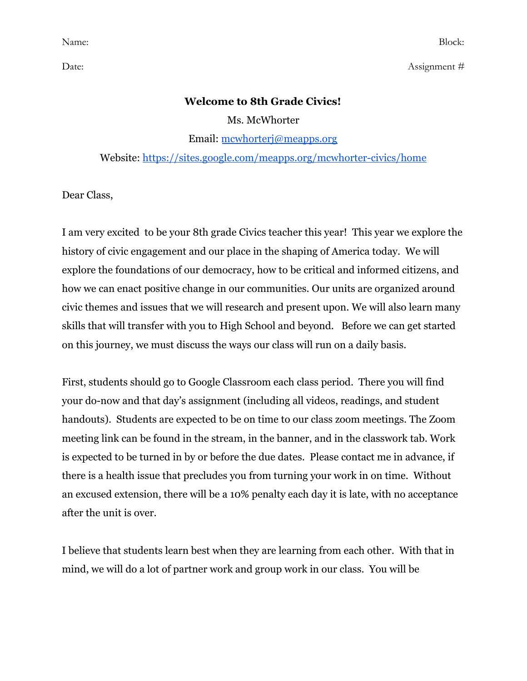Date: Assignment #

#### **Welcome to 8th Grade Civics!**

Ms. McWhorter

Email: [mcwhorterj@meapps.org](mailto:mcwhorterj@meapps.org)

Website: <https://sites.google.com/meapps.org/mcwhorter-civics/home>

Dear Class,

I am very excited to be your 8th grade Civics teacher this year! This year we explore the history of civic engagement and our place in the shaping of America today. We will explore the foundations of our democracy, how to be critical and informed citizens, and how we can enact positive change in our communities. Our units are organized around civic themes and issues that we will research and present upon. We will also learn many skills that will transfer with you to High School and beyond. Before we can get started on this journey, we must discuss the ways our class will run on a daily basis.

First, students should go to Google Classroom each class period. There you will find your do-now and that day's assignment (including all videos, readings, and student handouts). Students are expected to be on time to our class zoom meetings. The Zoom meeting link can be found in the stream, in the banner, and in the classwork tab. Work is expected to be turned in by or before the due dates. Please contact me in advance, if there is a health issue that precludes you from turning your work in on time. Without an excused extension, there will be a 10% penalty each day it is late, with no acceptance after the unit is over.

I believe that students learn best when they are learning from each other. With that in mind, we will do a lot of partner work and group work in our class. You will be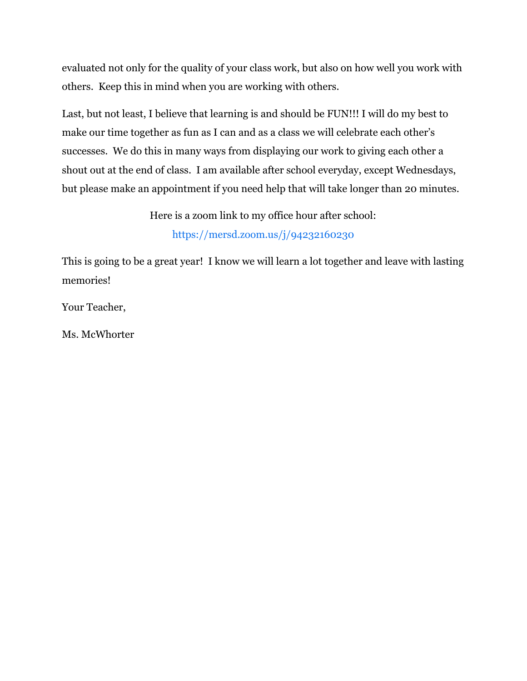evaluated not only for the quality of your class work, but also on how well you work with others. Keep this in mind when you are working with others.

Last, but not least, I believe that learning is and should be FUN!!! I will do my best to make our time together as fun as I can and as a class we will celebrate each other's successes. We do this in many ways from displaying our work to giving each other a shout out at the end of class. I am available after school everyday, except Wednesdays, but please make an appointment if you need help that will take longer than 20 minutes.

> Here is a zoom link to my office hour after school: <https://mersd.zoom.us/j/94232160230>

This is going to be a great year! I know we will learn a lot together and leave with lasting memories!

Your Teacher,

Ms. McWhorter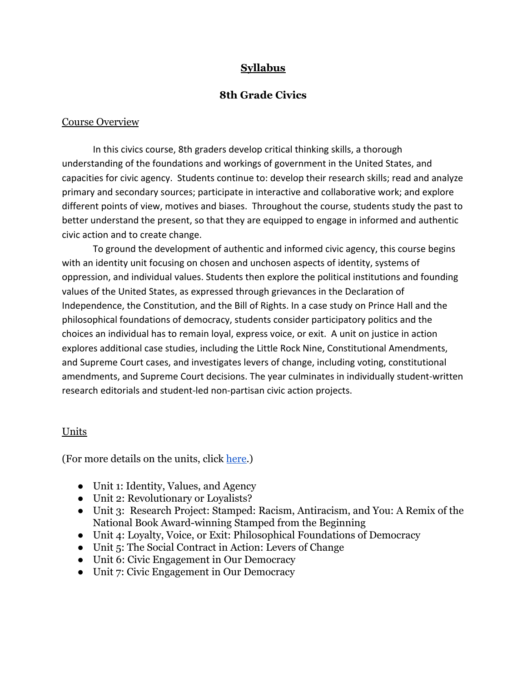## **Syllabus**

### **8th Grade Civics**

#### Course Overview

In this civics course, 8th graders develop critical thinking skills, a thorough understanding of the foundations and workings of government in the United States, and capacities for civic agency. Students continue to: develop their research skills; read and analyze primary and secondary sources; participate in interactive and collaborative work; and explore different points of view, motives and biases. Throughout the course, students study the past to better understand the present, so that they are equipped to engage in informed and authentic civic action and to create change.

To ground the development of authentic and informed civic agency, this course begins with an identity unit focusing on chosen and unchosen aspects of identity, systems of oppression, and individual values. Students then explore the political institutions and founding values of the United States, as expressed through grievances in the Declaration of Independence, the Constitution, and the Bill of Rights. In a case study on Prince Hall and the philosophical foundations of democracy, students consider participatory politics and the choices an individual has to remain loyal, express voice, or exit. A unit on justice in action explores additional case studies, including the Little Rock Nine, Constitutional Amendments, and Supreme Court cases, and investigates levers of change, including voting, constitutional amendments, and Supreme Court decisions. The year culminates in individually student-written research editorials and student-led non-partisan civic action projects.

#### Units

(For more details on the units, click [here](https://docs.google.com/document/d/1kd1n3eWBaWEGUj8E4ms2LP2R_uRFzJRl_q3Blq0qECE/edit?usp=sharing).)

- Unit 1: Identity, Values, and Agency
- Unit 2: Revolutionary or Loyalists?
- Unit 3: Research Project: Stamped: Racism, Antiracism, and You: A Remix of the National Book Award-winning Stamped from the Beginning
- Unit 4: Loyalty, Voice, or Exit: Philosophical Foundations of Democracy
- Unit 5: The Social Contract in Action: Levers of Change
- Unit 6: Civic Engagement in Our Democracy
- Unit 7: Civic Engagement in Our Democracy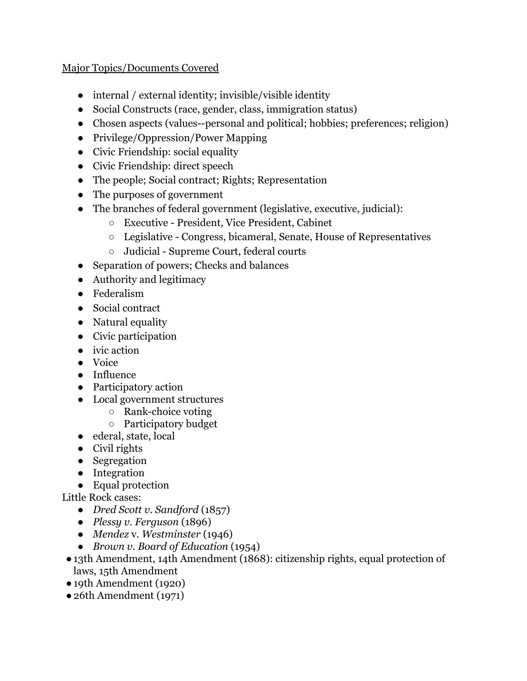### Major Topics/Documents Covered

- internal / external identity; invisible/visible identity
- Social Constructs (race, gender, class, immigration status)
- Chosen aspects (values--personal and political; hobbies; preferences; religion)
- Privilege/Oppression/Power Mapping
- Civic Friendship: social equality
- Civic Friendship: direct speech
- The people; Social contract; Rights; Representation
- The purposes of government
- The branches of federal government (legislative, executive, judicial):
	- Executive President, Vice President, Cabinet
	- Legislative Congress, bicameral, Senate, House of Representatives
	- Judicial Supreme Court, federal courts
- Separation of powers; Checks and balances
- Authority and legitimacy
- Federalism
- Social contract
- Natural equality
- Civic participation
- ivic action
- Voice
- Influence
- Participatory action
- Local government structures
	- Rank-choice voting
	- Participatory budget
- ederal, state, local
- Civil rights
- Segregation
- Integration
- Equal protection

Little Rock cases:

- *● Dred Scott v. Sandford* (1857)
- *● Plessy v. Ferguson* (1896)
- *● Mendez* v. *Westminster* (1946)
- *● Brown v. Board of Education* (1954)
- ●13th Amendment, 14th Amendment (1868): citizenship rights, equal protection of laws, 15th Amendment
- ●19th Amendment (1920)
- ●26th Amendment (1971)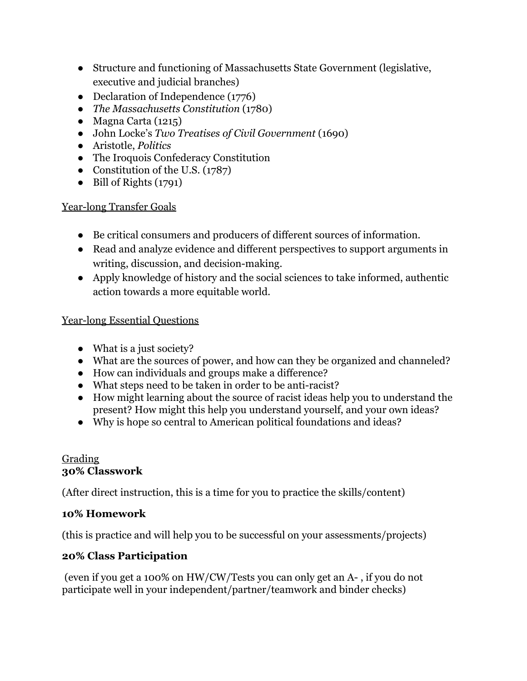- Structure and functioning of Massachusetts State Government (legislative, executive and judicial branches)
- Declaration of Independence (1776)
- *The Massachusetts Constitution* (1780)
- Magna Carta (1215)
- John Locke's *[Two Treatises of Civil Government](http://libertyonline.hypermall.com/Locke/second/second-frame.html)* [\(](http://libertyonline.hypermall.com/Locke/second/second-frame.html)1690)
- *●* Aristotle, *Politics*
- *●* The Iroquois Confederacy Constitution
- Constitution of the U.S.  $(1787)$
- Bill of Rights (1791)

## Year-long Transfer Goals

- Be critical consumers and producers of different sources of information.
- Read and analyze evidence and different perspectives to support arguments in writing, discussion, and decision-making.
- Apply knowledge of history and the social sciences to take informed, authentic action towards a more equitable world.

# Year-long Essential Questions

- What is a just society?
- What are the sources of power, and how can they be organized and channeled?
- How can individuals and groups make a difference?
- What steps need to be taken in order to be anti-racist?
- How might learning about the source of racist ideas help you to understand the present? How might this help you understand yourself, and your own ideas?
- Why is hope so central to American political foundations and ideas?

### Grading **30% Classwork**

(After direct instruction, this is a time for you to practice the skills/content)

# **10% Homework**

(this is practice and will help you to be successful on your assessments/projects)

# **20% Class Participation**

 (even if you get a 100% on HW/CW/Tests you can only get an A- , if you do not participate well in your independent/partner/teamwork and binder checks)